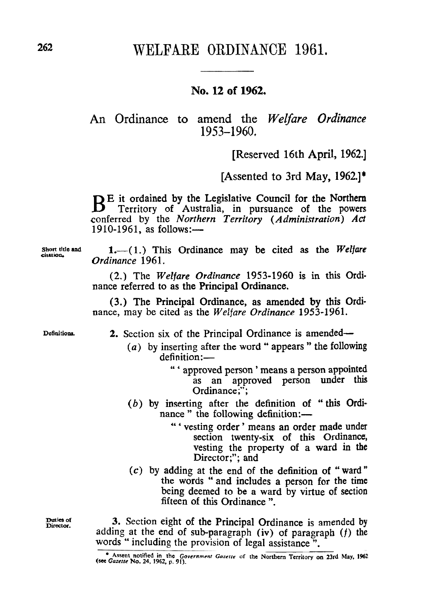# **262** WELFARE ORDINANCE 1961,

## **No. 12 of 1962.**

**An** Ordinance **to** amend the *Welfare Ordinance*  1953-1960.

[Reserved **16th** April, **1962.]** 

[Assented to 3rd May, **1962.]\*** 

BE it ordained by the Legislative Council for the Northern Territory of Australia, in pursuance of the powers conferred by the *Northern Territory (Administration) Act*   $1910-1961$ , as follows: $-$ 

Short title and **1.**—(1.) This Ordinance may be cited as the *Welfare* citation, *Ordinance 1961.* 

> (2.) The *Welfare Ordinance* 1953-1960 is in this Ordi nance referred to as the Principal Ordinance.

> (3.) The Principal Ordinance, as amended by this Ordinance, may be cited as the *Welfare Ordinance* 1953-1961.

**Definitions. 2.** Section six of the Principal Ordinance is amended-

- *(a)* by inserting after the word " appears " the **following**  definition:-
	- " ' approved person ' means a person appointed as an approved person under this Ordinance;";
- (b) by inserting after the definition of "this Ordi nance " the following definition:-
	- " ' vesting order ' means an order made under section twenty-six of this Ordinance, vesting the property of a ward in **the**  Director;"; and
- **(c)** by adding at the end of the definition of " ward the words "and includes a person for the time being deemed to be a ward by virtue of section fifteen of this Ordinance ".

**3.** Section eight of the Principal Ordinance is amended by adding at the end of sub-paragraph (iv) of paragraph *(f)* the words " including the provision of legal assistance".

**Duties of Director.** 

<sup>&</sup>lt;sup>o</sup> Assent notified in the Government Gazette of the Northern Territory on 23rd May, 1962 (see Gazette No. 24, 1962, p. 91).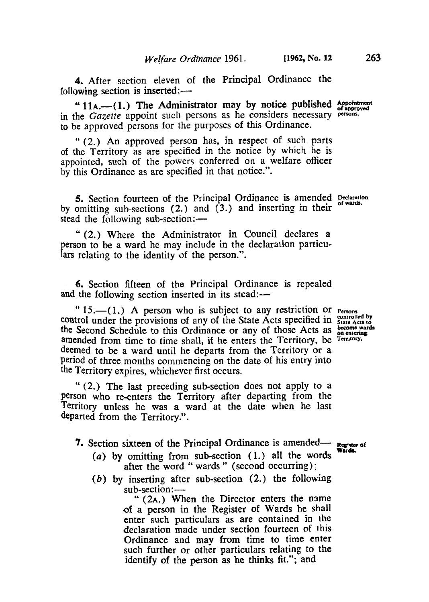**4.** After section eleven of the Principal Ordinance the following section is inserted:-

<sup>64</sup> 11A.-(1.) The Administrator may by notice published Appointment in the *Gazette* appoint such persons as he considers necessary persons. to be approved persons for the purposes of this Ordinance.

" **(2.)** An approved person has, in respect of such parts of the Territory as are specified in the notice by which he is appointed, such of the powers conferred on a welfare officer **by** this Ordinance as are specified in that notice.".

**5.** Section fourteen of the Principal Ordinance is amended **Declaration of wards**  by omitting sub-sections **(2.)** and **(3.)** and inserting in their stead the following sub-section:-

" **(2.)** Where the Administrator in Council declares a person to be a ward he may include in the declaration particulars relating to the identity of the person.".

**6.** Section fifteen of the Principal Ordinance is repealed and the following section inserted in its stead:—

" 15.-(1.) A person who is subject to any restriction or **Persons** control under the provisions of any of the State Acts specified in **State Acts** to the Second Schedule to this Ordinance or any of those Acts as become w<br>amended from time to time shall, if he enters the Territory, he Territory. amended from time to time shall, if he enters the Territory, be Territory. deemed to be a ward until he departs from the Territory or a Period of three months commencing on the date of his entry into the Territory expires, whichever first occurs.

" (2.) The last preceding sub-section does not apply to a Person who re-enters the Territory after departing from the Territory unless he was a ward at the date when he last departed from the Territory.".

7. Section sixteen of the Principal Ordinance is amended-

- *(a)* **by** omitting from sub-section **(1.)** all the words after the word " wards " (second occurring);
- *(b)* by inserting after sub-section (2.) the following after the word " wards " (second occurring);<br>inserting after sub-section (2.) the following<br>sub-section:—<br>" (2A.) When the Director enters the name

of a person in the Register of Wards he shall enter such particulars as are contained in the declaration made under section fourteen **of** this Ordinance and may from time to time enter such further or other particulars relating to the identify of the **person as** he thinks fit."; and

**Wards.**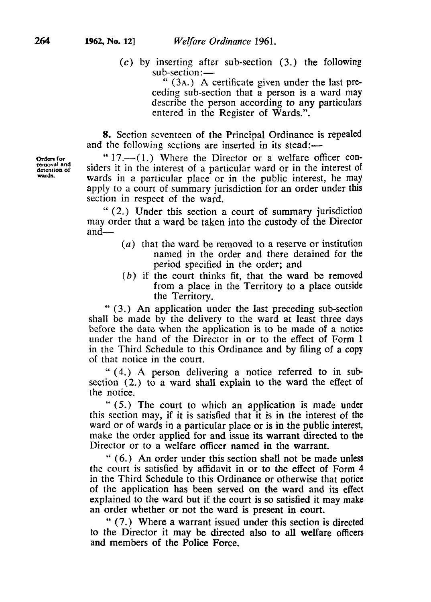**(c)** by inserting after sub-section **(3.)** the following sub-section:-

" **(3A.)** A certificate given under the last preceding sub-section that a person is a ward may describe the person according to any particulars entered in the Register of Wards.".

**8.** Section seventeen of the Principal Ordinance is repealed and the following sections are inserted in its stead:—

 $17.$   $-(1.)$  Where the Director or a welfare officer considers it in the interest of a particular ward or in the interest *Of*  wards in a particular place or in the public interest, he may apply to a court of summary jurisdiction for an order under this section in respect of the ward.

" **(2.)** Under this section a court of summary jurisdiction may order that a ward be taken into the custody of the Director and-

- *(a)* that the ward be removed to a reserve or institution named in the order and there detained for the period specified in the order; and
- *(b)* if the court thinks fit, that the ward be removed from a place in the Territory to a place outside the Territory.

" **(3.)** An application under the last preceding sub-section shall be made **by** the delivery to the ward at least three days before the date when the application is to be made **of** a notice under the hand of the Director in or to the effect of Form **1**  in the Third Schedule to this Ordinance and by filing of a copy of that notice in the court.

" **(4.)** A person delivering a notice referred to in sub section **(2.)** to a ward shall explain to the ward the effect **of**  the notice.

" *(5.)* The court to which an application **is** made under this section may, if it is satisfied that it is in the interest of the ward or **of** wards in a particular place or is in the public interest, make the order applied for and issue its warrant directed to the Director or to a welfare officer named in the warrant.

" **(6.)** An order under this section shall not be made unless the court is satisfied by affidavit in or to the effect of Form **4**  in the Third Schedule to this Ordinance or otherwise that notice of the application has been served on the ward and its effect explained to the ward but if the court is so satisfied it may make an order whether or not the ward **is** present in court.

" (7.) Where a warrant issued under this section is directed to the Director it may be directed also to all welfare officers and members **of** the Police Force.

**Orders for removal and detention of wards.**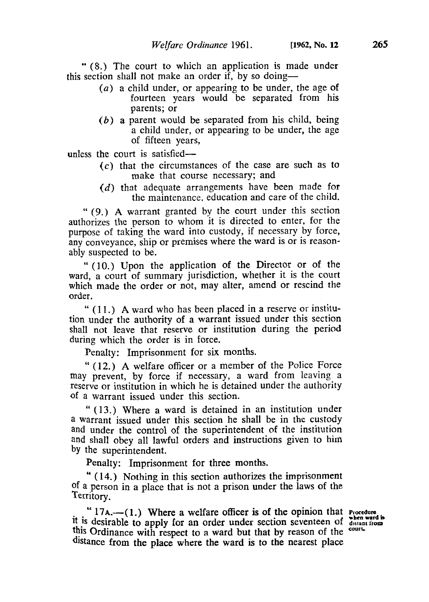" **(8.)** The court to which an application is made under this section shall not make an order if, by so doing-

- *(a)* a child under, or appearing to be under, the age of fourteen years would be separated from his parents; or
- *(b)* a parent would be separated from his child, being a child under, or appearing to be under, the age of fifteen years,

unless the court is satisfied-

- *(c)* that the circumstances of the case are such as to make that course necessary; and
- *(d)* that adequate arrangements have been made for the maintenance, education and care of the child.

" (9.) **A** warrant granted by the court under this section authorizes the person to whom it is directed to enter, for the purpose of taking the ward into custody, if necessary by force, any conveyance, ship or premises where the ward is or is reasonably suspected to be.

" (10.) Upon the application of the Director or of the ward, a court of summary jurisdiction, whether it is the court which made the order or not, may alter, amend or rescind the order.

" **(1 1.) A** ward who has been placed in a reserve or institution under the authority of a warrant issued under this section shall not leave that reserve or institution during the period during which the order is in force.

Penalty: Imprisonment for six months.

" (12.) **A** welfare officer or a member of the Police Force may prevent, by force if necessary, a ward from leaving a reserve or institution in which he is detained under the authority of a warrant issued under this section.

" (13.) Where a ward is detained in an institution under a warrant issued under this section he shall be in the custody **and** under the control of the superintendent of the institution and shall obey all lawful orders and instructions given to him **by** the superintendent.

Penalty: Imprisonment for three months.

( **14.)** Nothing in this section authorizes the imprisonment **" of** a person in a place that is not a prison under the laws of the Territory,

**"** 17A.-(1.) Where a welfare officer is of the opinion that **Procedure** is **decised** to the *ward* is **decised** when ward is **it** is desirable to apply for an order under section seventeen of **distant from this** Ordinance with respect to a ward but that by reason of the distance **from** the place where the ward **is** to the nearest place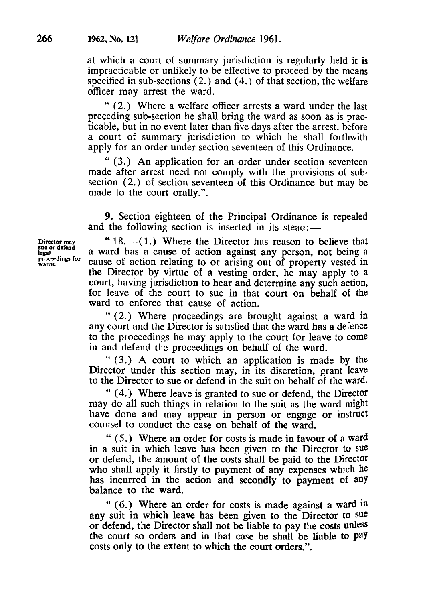at which a court of summary jurisdiction is regularly held it is impracticable or unlikely to be effective to proceed by the means specified in sub-sections **(2.)** and **(4.)** of that section, the welfare officer may arrest the ward.

" (2.) Where a welfare officer arrests a ward under the last preceding sub-section he shall bring the ward as soon as is practicable, but in no event later than five days after the arrest, before a court of summary jurisdiction to which he shall forthwith apply for an order under section seventeen of this Ordinance.

" (3.) An application for an order under section seventeen made after arrest need not comply with the provisions of subsection **(2.)** of section seventeen of this Ordinance but may be made to the court orally.".

**9.** Section eighteen of the Principal Ordinance is repealed

**sue or defend proceedings for wards. legal** 

and the following section is inserted in its stead:-<br>Director may **4.18.** (1.) Where the Director has reason to 18.-( **1.)** Where the Director has reason to believe that a ward has a cause of action against any person, not being a cause of action relating to or arising out of property vested in the Director by virtue of a vesting order, he may apply to a court, having jurisdiction to hear and determine any such action, for leave of the court to sue in that court on behalf of the ward to enforce that cause of action.

> " (2.) Where proceedings are brought against a ward in any court and the Director is satisfied that the ward has a defence to the proceedings he may apply to the court for leave to come in and defend the proceedings on behalf of the ward.

> " (3.) **A** court to which an application is made by the Director under this section may, in its discretion, grant leave to the Director to sue or defend in the suit on behalf of the ward.

> " **(4.)** Where leave is granted to sue or defend, the Director may do all such things in relation to the suit as the ward might have done and may appear in person or engage or instruct counsel to conduct the case on behalf of the ward.

> " (5.) Where an order for costs is made in favour of a ward in a suit in which leave has been given to the Director to Sue or defend, the amount of the costs shall be paid to the Director who shall apply it firstly to payment of any expenses which he has incurred in the action and secondly to payment of **any**  balance to the ward.

> " **(6.)** Where an order for costs is made against a ward in any suit in which leave has been given to the Director to **sue**  or defend, the Director shall not be liable to pay the costs unless the court so orders and **in** that case he shall be liable to pay costs only to the extent to which the court orders.".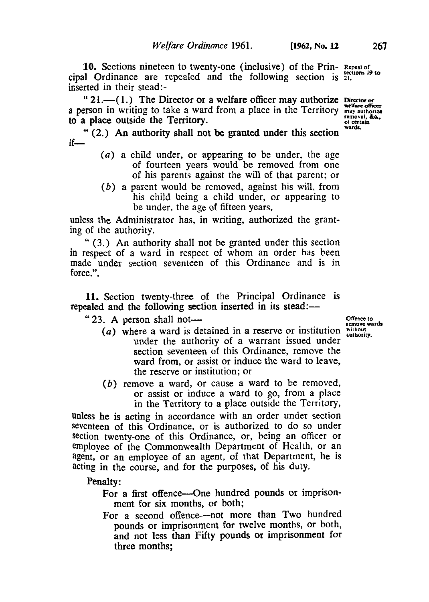**10.** Sections nineteen to twenty-one (inclusive) of the Prin- **Repeal of** cipal Ordinance are repealed and the following section is <sup>21</sup>. inserted in their stead:-

a person in writing to take a ward from a place in the Territory " 21.—(1.) The Director or a welfare officer may authorize **Director** or **wards.**  to a place outside the Territory.

**if-**  " **(2.)** An authority shall not be granted under this section

- *(a)* a child under, or appearing to be under, the age of fourteen years would be removed from one **of** his parents against the will of that parent; or
- *(b)* a parent would be removed, against his will, from his child being a child under, or appearing to be under, the age of fifteen years,

unless the Administrator has, in writing, authorized the granting of the authority.

" **(3.)** An authority shall not be granted under this section **in** respect of a ward in respect of whom an order has been made under section seventeen of this Ordinance and is in force.".

**11.** Section twenty-three of the Principal Ordinance is repealed and the following section inserted in its stead:—

" **23. A** person shall not-

- *(a)* where a ward is detained in a reserve or institution *without authority.*  under the authority of a warrant issued under section seventeen of this Ordinance, remove the ward from, or assist or induce the ward to leave, the reserve or institution; or
- *(b)* remove a ward, or cause a ward to be removed, or assist or induce a ward to go, from a place in the Territory to a place outside the Territory,

unless he is acting in accordance with an order under section seventeen of this Ordinance, or is authorized to do so under section twenty-one of this Ordinance, or, being an officer or employee **of** the Commonwealth Department of Health, or an agent, or an employee of an agent, of that Department, he is acting in the course, and for the purposes, of his duty.

Penalty:

- For a first offence---One hundred pounds or imprisonment for six months, or both;
- For a second offence—not more than Two hundred pounds or imprisonment for twelve months, or both, and not less than Fifty pounds **or** imprisonment for three months;

**Offence to remove wards**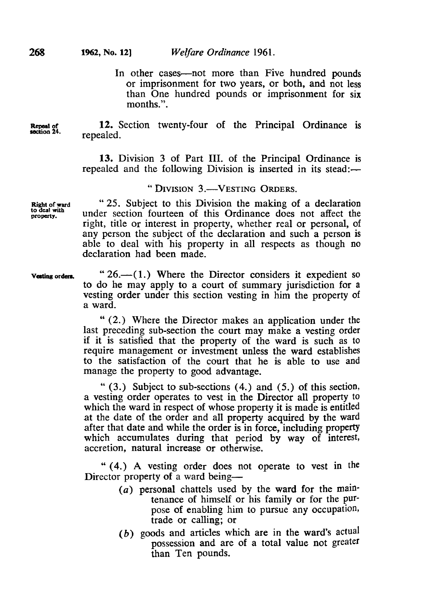In other cases—not more than Five hundred pounds or imprisonment for two years, or both, and not less than One hundred pounds or imprisonment for six months.".

**Repeal of 12.** Section twenty-four of the Principal Ordinance is repealed.

> 13. Division **3** of Part **III.** of the Principal Ordinance is repealed and the following Division is inserted in its stead:—

## " DIVISION **3.-VESTING ORDERS.**

**Right of ward** *"25.* Subject to this Division the making of a declaration under section fourteen of this Ordinance does not affect the right, title or interest in property, whether real or personal, of any person the subject of the declaration and such a person is able to deal with his property in all respects as though no declaration had been made.

**Vesting orders.** " 26.—(1.) Where the Director considers it expedient so to do he may apply to a court of summary jurisdiction for a vesting order under this section vesting in him the property of a ward.

> (2.) Where the Director makes an application under the last preceding sub-section the court may make a vesting order if it is satisfied that the property of the ward is such as to require management or investment unless the ward establishes to the satisfaction of the court that he is able to use and manage the property to good advantage.

> " (3.) Subject to sub-sections **(4.)** and (5.) of this section, a vesting order operates to vest in the Director all property to which the ward in respect of whose property it is made is entitled at the date of the order and all property acquired by the ward after that date and while the order is in force, including property which accumulates during that period by way of interest, accretion, natural increase or otherwise.

> " **(4.)** A vesting order does not operate to vest in the Director property of a ward being—

- *(a)* personal chattels used by the ward for the maintenance of himself or his family or for the purpose of enabling him to pursue any occupation, trade or calling; or
- *(b)* goods and articles which are in the ward's actual possession and are of a total value not greater than Ten pounds.

**to deal with**  *Property.*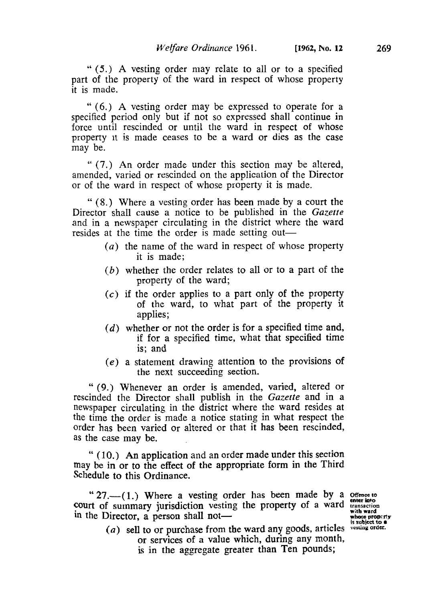'' (5.) **A** vesting order may relate to all or to a specified part of the property of the ward in respect of whose property it is made.

" **(6.)** A vesting order may be expressed to operate for a specified period only but if not so expressed shall continue in force until rescinded or until the ward in respect of whose property **it** is made ceases to be a ward or dies as the case may be.

" (7.) An order made under this section may be altered, amended, varied or rescinded on the application of the Director or of the ward in respect of whose property it is made.

" **(8.)** Where a vesting order has been made by a court the Director shall cause a notice to be published in the *Gazette*  and in a newspaper circulating in the district where the ward resides at the time the order is made setting out—

- *(a)* the name of the ward in respect of whose property it is made;
- *(b)* whether the order relates to all or to a part of the property of the ward;
- *(c)* if the order applies to a part only of the property of the ward, to what part of the property it applies:
- *(d)* whether or not the order is for a specified time and, if for a specified time, what that specified time is; and
- (e) a statement drawing attention to the provisions of the next succeeding section.

" (9.) Whenever an order is amended, varied, altered or rescinded the Director shall publish in the *Gazette* and in a newspaper circulating in the district where the ward resides at the time the order is made a notice stating in what respect the order has been varied or altered or that it has been rescinded, as the case may be.

" **(10.) An** application and an order made under this section may be in or to the effect **of** the appropriate form in the Third Schedule to this Ordinance.

" 27.—(1.) Where a vesting order has been made by a **Offence** to **court** of summary jurisdiction vesting the property of a ward **transaction in** the Director, a person shall not-Director, a person shall not—<br>
(a) sell to or purchase from the ward any goods, articles vesting order **a** 

**enter into** 

or services **of** a value which, during any month, is in the aggregate greater **than** Ten pounds;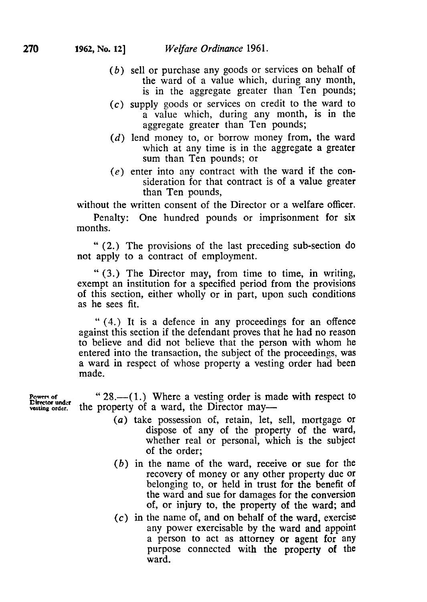- *(b)* sell or purchase any goods or services on behalf of the ward of a value which, during any month, is in the aggregate greater than Ten pounds;
- **(c)** supply goods or services on credit to the ward to a value which, during any month, is in the aggregate greater than Ten pounds;
- *(d)* lend money to, or borrow money from, the ward which at any time is in the aggregate a greater sum than Ten pounds; or
- $(e)$  enter into any contract with the ward if the consideration for that contract is of a value greater than Ten pounds,

without the written consent of the Director or a welfare officer.

Penalty: One hundred pounds or imprisonment for six months.

" **(2.)** The provisions of the last preceding sub-section do not apply to a contract of employment.

" **(3.)** The Director may, from time to time, in writing, exempt an institution for a specified period from the provisions of this section, either wholly or in part, upon such conditions as he sees fit.

" **(4.)** It is a defence in any proceedings for an offence against this section if the defendant proves that he had no reason to believe and did not believe that the person with whom he entered into the transaction, the subject of the proceedings, was a ward in respect of whose property a vesting order had been made.

" 28.—(1.) Where a vesting order is made with respect to the property of a ward, the Director may-

- *(a)* take possession of, retain, let, sell, mortgage or dispose of any of the property of the ward, whether real or personal, which **is** the subject of the order;
- *(b)* in the name of the ward, receive **or** sue for the recovery of money or any other property due or belonging to, or held in trust for the benefit of the ward and sue for damages for the conversion of, or injury to, the property of the ward; and
- $(c)$  in the name of, and on behalf of the ward, exercise any power exercisable by the ward and appoint a person to act as attorney or agent for any purpose connected with the property of the ward.

Powers of<br>**Director** under **vesting order.**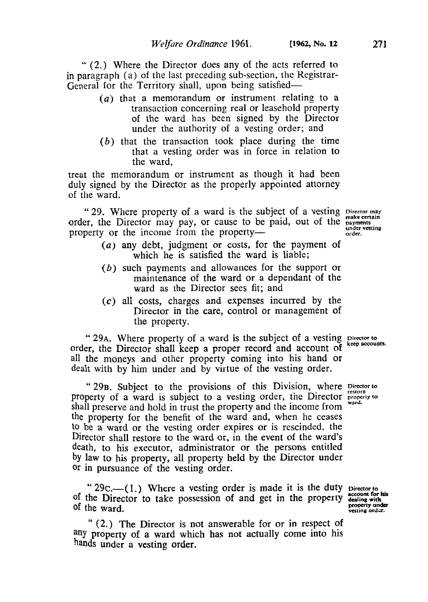- *(a)* that a memorandum or instrument relating to a transaction concerning real or leasehold property of the ward has been signed by the Director under the authority of a vesting order; and
- *(b)* that the transaction took place during the time that a vesting order was in force in relation to the ward,

treat the memorandum or instrument as though it had been duly signed by the Director as the properly appointed attorney of the ward.

" 29. Where property of a ward is the subject of a vesting Director may order, the Director may pay, or cause to be paid, out of the **payments** property or the income from the property- **which is a contract of the income from** the property-

- *(a)* any debt, judgment or costs, for the payment of which he is satisfied the ward is liable;
- *(b)* such payments and allowances for the support or maintenance of the ward or a dependant of the ward as the Director sees fit; and
- *(c)* all costs, charges and expenses incurred by the Director in the care, control or management of the property.

" 29A. Where property of a ward is the subject of a vesting **Director** to **keep accounts.** order, the Director shall keep a proper record and account of all the moneys and other property coming into his hand or dealt with by him under and by virtue of the vesting order.

" **29B.** Subject to the provisions of this Division, where **Director to restore**  property of a ward is subject to a vesting order, the Director **property** vard. shall preserve and hold in trust the property and the income from the property for the benefit of the ward and, when he ceases to be a ward or the vesting order expires or is rescinded, the Director shall restore to the ward or, in the event of the ward's death, to his executor, administrator or the persons entitled **by** law to his property, all property held by the Director under Or in pursuance of the vesting order.

" 29c.—(1.) Where a vesting order is made it is the duty **Director** to **of the Director to take possession of and get in the property of** the ward.

" **(2.)** The Director is not answerable for or in respect **of**  any property of a ward which has not actually come into his hands under a vesting order.

**account for his property under**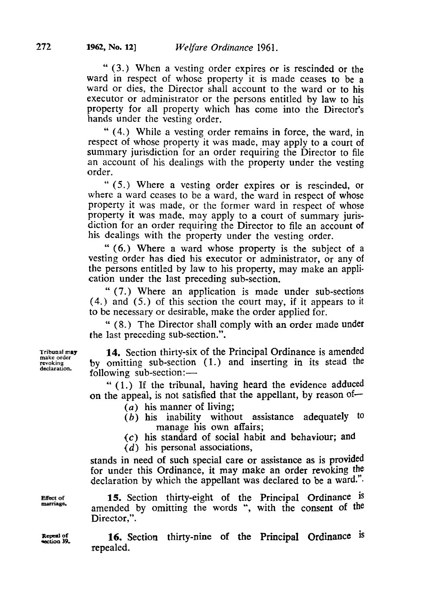" **(3.)** When a vesting order expires or is rescinded or the ward in respect of whose property it is made ceases to be a ward or dies, the Director shall account to the ward or to his executor or administrator or the persons entitled by law to his property for all property which has come into the Director's hands under the vesting order.

" **(4.)** While a vesting order remains in force, the ward, in respect of whose property it was made, may apply to a court of summary jurisdiction for an order requiring the Director to file an account of his dealings with the property under the vesting order.

" *(5.)* Where a vesting order expires or is rescinded, or where a ward ceases to be a ward, the ward in respect of whose property it was made, or the former ward in respect of whose property it was made, may apply to a court of summary jurisdiction for an order requiring the Director to file an account of his dealings with the property under the vesting order.

" **(6.)** Where a ward whose property is the subject of a vesting order has died his executor or administrator, or any of the persons entitled by law to his property, may make an application under the last preceding sub-section.

" **(7.)** Where an application is made under sub-sections *(4.)* and *(5.)* of this section the court may, if it appears to it to be necessary or desirable, make the order applied for.

" **(8.)** The Director shall comply with an order made under the last preceding sub-section.".

**14.** Section thirty-six of the Principal Ordinance is amended by omitting sub-section (1.) and inserting in its stead the following sub-section:-

" (1.) **If** the tribunal, having heard the evidence adduced on the appeal, is not satisfied that the appellant, by reason of-

*(a)* his manner of living;

- *(b)* his inability without assistance adequately to manage his own affairs;
- *(c)* his standard **of** social habit and behaviour; and
- *(d)* his personal associations,

stands in need **of** such special care or assistance as is provided for under this Ordinance, it may make an order revoking the declaration by which the appellant was declared to be a ward.".

**15.** Section thirty-eight of the Principal Ordinance is amended by omitting the words ", with the consent **of** the Director,".

**16.** Section thirty-nine of **the** Principal Ordinance **is**  repealed.

**Tribunal may make order revoking declaration.** 

**Effect** of marriage.

**Repeal of**  section **39.** 

**272**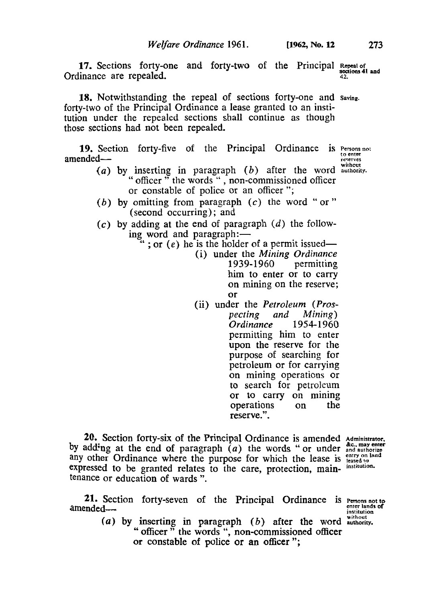**17.** Sections forty-one and forty-two of the Principal **Repeal of sections 41 and** Ordinance are repealed. **42.** 

**18.** Notwithstanding the repeal of sections forty-one and **Saving.**  forty-two of the Principal Ordinance a lease granted to an institution under the repealed sections shall continue as though those sections had not been repealed.

**19.** Section forty-five of the Principal Ordinance is Persons no: <br> **amended—** (a) by inserting in paragraph (b) after the word authority.

- " inserting in paragraph  $(v)$  are the words ", non-commissioned officer" oncer the words , non-commissione<br>or constable of police or an officer "; *(b)* by omitting from paragraph *(c)* the word " or "
- (second occurring) ; and
- *(c)* by adding at the end of paragraph *(d)* the follow-

 $\cdot$ ; or *(e)* he is the holder of a permit issued-

- (i) under the *Mining Ordinance*  permitting him to enter or to carry on mining on the reserve; or
- (ii) under the *Petroleum (Prospecting and Mining) <u>Ordinance</u>* permitting him to enter upon the reserve for the purpose of searching for petroleum or for carrying on mining operations or to search for petroleum or to carry on mining operations reserve.".

**20.** Section forty-six of the Principal Ordinance is amended **Administrator. by** adding at the end of paragraph *(a)* the words "or under **andauthorize &c.. may enter**  any other Ordinance where the purpose for which the lease is **entry** on land expressed to be granted relates to the care, protection, main- *institution*. tenance or education of wards ".

**21.** Section forty-seven of the Principal Ordinance is **Persons not to enter lands of**  amended-

**institution** 

(a) by inserting in paragraph  $(b)$  after the word  $\frac{\text{winding}}{\text{subority}}$ .<br>
" officer " the words ", non-commissioned officer " officer  $\frac{1}{1}$  the words ", non-commissioned officer or constable of police or an officer ";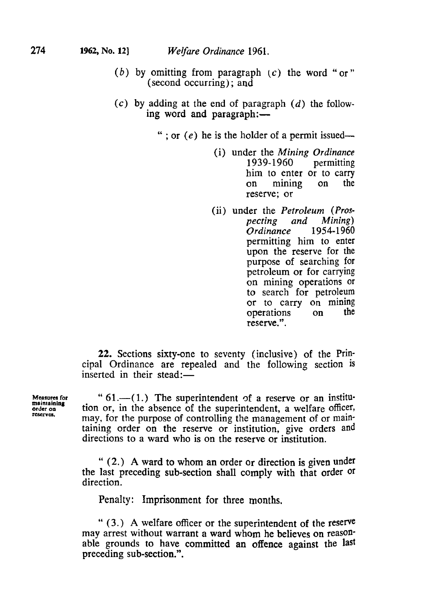- *(b)* by omitting from paragraph *(c)* the word "or" (second occurring) ; **and**
- *(c)* by adding at the end of paragraph *(d)* the follow ing word and paragraph:-
	- "; or  $(e)$  he is the holder of a permit issued--
		- (i) under the *Mining Ordinance*  **1939-1960** him to enter or to carry<br>on mining on the on mining reserve; or
		- (ii) under the *Petroleum (Prosand Mining*)<br>2 1954-1960  $O$ *rdinance* permitting him to enter upon the reserve for the purpose of searching for petroleum or for carrying on mining operations or to search for petroleum or to carry on mining operations on the reserve.".

**22.** Sections sixty-one to seventy (inclusive) of the Principal Ordinance are repealed and the following section is inserted in their stead: $-$ 

**Measures for order on maintaining reserves** 

" **61.-( 1.)** The superintendent **of** a reserve or an institution or, in the absence of the superintendent, a welfare officer, may, for the purpose of controlling the management of or maintaining order on the reserve or institution, give orders and directions to a ward who is on the reserve or institution.

" **(2.) A** ward to whom an order or direction is given under the last preceding sub-section shall comply with that order or direction.

Penalty: Imprisonment for three months.

" **(3.) A** welfare officer or the superintendent of the reserve may arrest without warrant a ward whom he believes on reasonable grounds to have committed an offence against the last preceding sub-section.".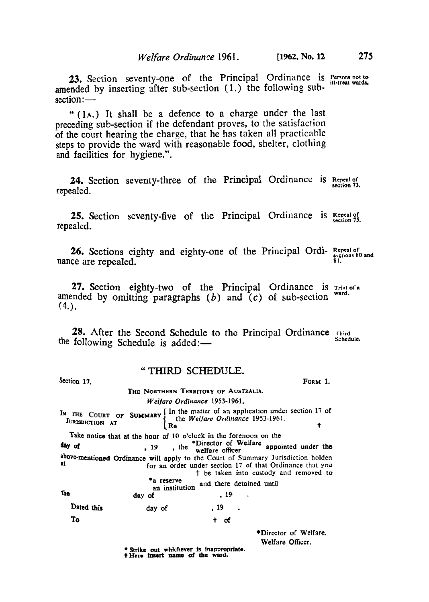**23.** Section seventy-one of the Principal Ordinance is *Persons not to ill-treat wards*  amended by inserting after sub-section (1.) the following sub-**23.** Section<br>amended by section:

" **(1A.)** It shall be a defence to a charge under the last preceding sub-section if the defendant proves, to the satisfaction of the court hearing the charge, that he has taken all practicable steps to provide the ward with reasonable food, shelter, clothing and facilities for hygiene.".

**24.** Section seventy-three of the Principal Ordinance is **Repeal of section 73.**  repealed.

**25.** Section seventy-five of the Principal Ordinance is Repeal of **section 75.**  repealed.

**26.** Sections eighty and eighty-one of the Principal Ordi- Repeal of sections 80 and **CE** are repealed nance are repealed. **81.** 

*27.* Section eighty-two **of** the Principal Ordinance is **Trial of a** amended by omitting paragraphs *(b)* and **(c)** of sub-section **ward.**   $(4.)$ .

**28.** After the Second Schedule to the Principal Ordinance *Chird* Schedule. the following Schedule is added:-

### " **THIRD SCHEDULE.**

section **17. FORM 1. THE NORTHERN TERRITORY OF AUSTRALIA.**  *Welfare Ordinance* 1953-1961. IN THE COURT OF **SUMMARY** In the matter of an application under section 17 of JURISDICTION **17** THE COURT OF **SUMMARY** the *Welfare Ordinance* 1953-1961. Take notice that at the hour of 10 o'clock in the forenoon on the 19 , the <sup>\*Director of Welfare appointed under the welfare officer</sup> above-mentioned Ordinance will apply to the **Court** of Summary Jurisdiction holden for an order under section 17 of that Ordinance that you † be taken into custody and removed to day of <sup>2</sup>a reserve an institution and there detained until<br>
day of , 19 . Dated **this** day **of** , 19 . **To † of**  \*Director of Welfare. Welfare Officer. **Strike** *out* **whichever** *is* **inappropriate. † Hero insert name of the ward.**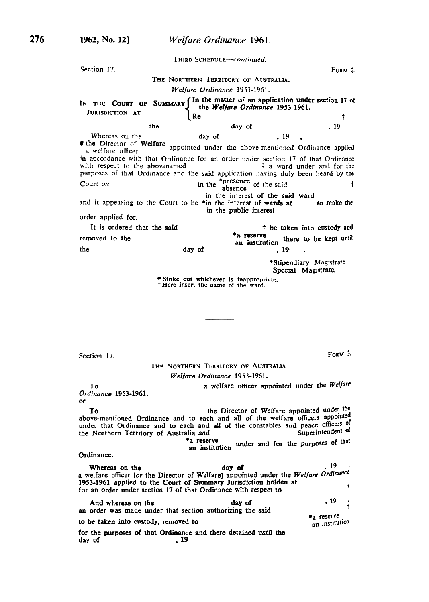**THIRD** *SCHEDULE-continued.*  Section 17. **Form 2. Form 2. THE NORTHERN TERRITORY OF** *AUSTRALIA. Welfare Ordinance* **1953-1961.**  IN THE COURT OF SUMMARY In the matter of an application under section 17 of the *Welfare Ordinance* 1953-1961. **JURISDICTION AT Re t f** the day of , 19 Whereas on the day of  $\frac{19}{15}$ the Director of **Welfare** appointed under the above-mentioned Ordinance applied a welfare officer in accordance with that Ordinance for an order under section **17** of that Ordinance with respect to the abovenamed purposes of that Ordinance and the said application having duly been heard by the Court on  $\frac{1}{2}$  in the <sup>\*presence</sup> of the said t and it appearing to the Court to be \*in the interest of wards at **to** make the order applied for. removed to the the absence in the interest of the said ward in the public interest It is ordered that the said  $\qquad \qquad \qquad$   $\qquad \qquad$   $\qquad \qquad$  + be taken into custody and  $\qquad \qquad$  + a reserve **\*a** reserve an institution there to be kept **until**  day of , **19** . \*Stipendiary Magistrate Special Magistrate. Strike **out** whichever is inappropriate. *†* Here insert the name **of** the ward.

Section **17.** 

**FORM 3.** 

**THE NORTHERN TERRITORY OF** *AUSTRALIA. Welfare Ordinance* **1953-1961.** 

**To** a welfare officer appointed under the *Welfare* 

*Ordinance* **1953-1961. or** 

the Director of Welfare appointed under the **To**<br>above-mentioned Ordinance and to each and all of the welfare officers appointed<br>many above-mentioned Ordinance and to each and all of the welfare officers appointed under that Ordinance and to each and all of the constables and peace officers of the Northern Territory of Australia and the Northern Territory of Australia and

an institution under and for the purposes *of* **that \*a** reserve

Ordinance.

a welfare officer *[or the Director of Welfare] appointed under the Welfare Ordin †* for an order under section **17** of that Ordinance with respect **to**  Whereas on the day of the day of the state of  $\frac{19}{19}$ . **1953-1961** applied to the Court of Summary Jurisdiction holden at

**an** order **was** made under that section authorizing the said for the **purposes** *of* that Ordinance and there detained **until the**  And whereas on the *day of*  $\frac{19}{2}$ **to be taken into custody, removed to**<br>**to be taken into custody, removed to** a welfare officer lore to the Director of Welfare<br>1953-1961 applied to the Court of Summary<br>for an order under section 17 of that Ordinan<br>And whereas on the<br>an order was made under that section author<br>to be taken into cust an institution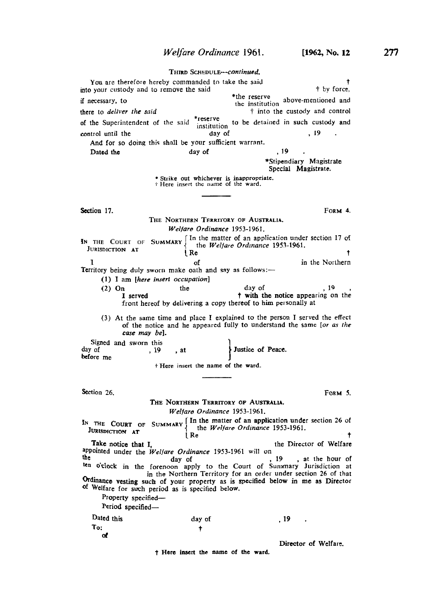### **THIRD** *SCHEDuLE-Continued.*  You are therefore hereby commanded to take the said **† therefore** the said **† h f h f h f h f h f h f h f h f h f h f h f h f h f h f h f h f h f h** into your custody and to remove the said  $\ddot{ }$  the reserve if necessary, to **\*the reserve** the institution above-mentioned and the institution above-mentioned and there to *deliver the said*  $\ddot{\tau}$  into the custody and control of the Superintendent of the said \*reserve to be detained in such custody and control until the day of , 19<br>And for so doing this shall be your sufficient warrant. Dated the day of , 19 \*Stipendiary Magistrate Special Magistrate. \* Strike **out** whichever is inappropriate. † Here insert the name of the ward. **Section 17.** FORM **4.** THE NORTHERN TERRITORY **OF** AUSTRALIA. *Welfare Ordinance* **1953-1961. IN** THE COURT OF SUMMARY In the matter of an application under section 17 of { the *Welfare Ordinance* **1953-1961.**  JURISDICTION AT I of in the Northern<br> **Territory being duly sworn make oath and say as follows:**-**(1)** I am *[here insert occupation]*  (2)  $\text{On}$  the day of , 19 , I served the twith the notice appearing on the front hereof by delivering a copy thereof to him personally at **(3)** At the same time and place I explained to the person I served the effect of the notice and he appeared fully to understand the same [or *as the*  **case** *my be].*  **Justice** of Peace. Signed and sworn this<br>day of , 19, at **before** me *†* Here insert the name of **the** ward. Section 26. **Form 5.** *Welfare Ordinance* **1953-1 961.**  THE NORTHERN TERRITORY **OF** AUSTRALIA. In the matter of an application under section **26** of IN THE COURT OF SUMMARY III The matter of an application under<br>**JURISDICTION AT** { the *Welfare Ordinance* 1953-1961. **URISDICTION** AT  $\begin{bmatrix} Re \end{bmatrix}$  Re  $\begin{bmatrix} Re \end{bmatrix}$  Re  $\begin{bmatrix} Re \end{bmatrix}$ Take notice that I, the Director of Welfare appointed under the *Welfare Ordinance* 1953-1961 will on day of , **19** , at the hour of the day of the Court of Summary Jurisdiction at the forenoon apply to the Court of Summary Jurisdiction at in the Northern Territory for an order under section **26** of that **Ordinance vesting** such of your property **as** is specified **below** in me as Director **of** Welfare for such period **as** is specified below. Property specified-Period specified-Dated this **To: of**  day of t , **19** . Director **of** Welfare,

**† Here** insert **the name of the ward.**